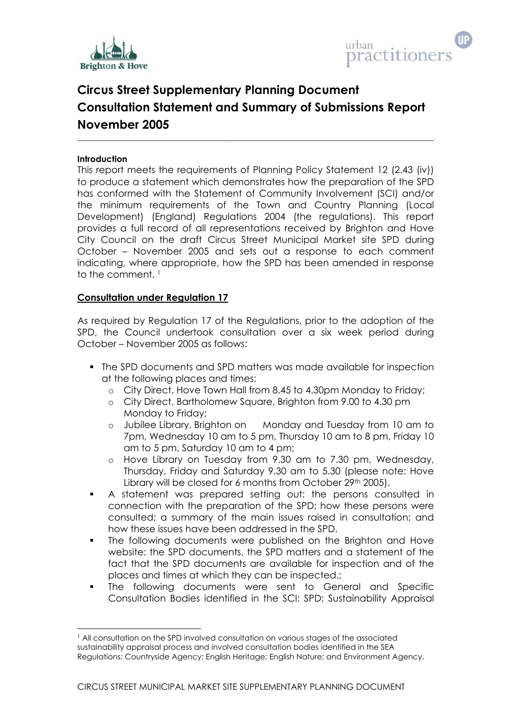



# **Circus Street Supplementary Planning Document Consultation Statement and Summary of Submissions Report November 2005**

**\_\_\_\_\_\_\_\_\_\_\_\_\_\_\_\_\_\_\_\_\_\_\_\_\_\_\_\_\_\_\_\_\_\_\_\_\_\_\_\_\_\_\_\_\_\_\_\_\_\_\_\_\_\_\_\_\_\_\_\_\_\_\_\_\_\_\_\_\_\_\_\_\_\_\_\_\_\_\_\_\_\_\_** 

## **Introduction**

l

This report meets the requirements of Planning Policy Statement 12 (2.43 (iv)) to produce a statement which demonstrates how the preparation of the SPD has conformed with the Statement of Community Involvement (SCI) and/or the minimum requirements of the Town and Country Planning (Local Development) (England) Regulations 2004 (the regulations). This report provides a full record of all representations received by Brighton and Hove City Council on the draft Circus Street Municipal Market site SPD during October – November 2005 and sets out a response to each comment indicating, where appropriate, how the SPD has been amended in response to the comment. 1

## **Consultation under Regulation 17**

As required by Regulation 17 of the Regulations, prior to the adoption of the SPD, the Council undertook consultation over a six week period during October – November 2005 as follows:

- The SPD documents and SPD matters was made available for inspection at the following places and times:
	- o City Direct, Hove Town Hall from 8.45 to 4.30pm Monday to Friday;
	- o City Direct, Bartholomew Square, Brighton from 9.00 to 4.30 pm Monday to Friday;
	- o Jubilee Library, Brighton on Monday and Tuesday from 10 am to 7pm, Wednesday 10 am to 5 pm, Thursday 10 am to 8 pm, Friday 10 am to 5 pm, Saturday 10 am to 4 pm;
	- o Hove Library on Tuesday from 9.30 am to 7.30 pm, Wednesday, Thursday, Friday and Saturday 9.30 am to 5.30 (please note: Hove Library will be closed for 6 months from October 29th 2005).
- A statement was prepared setting out: the persons consulted in connection with the preparation of the SPD; how these persons were consulted; a summary of the main issues raised in consultation; and how these issues have been addressed in the SPD.
- The following documents were published on the Brighton and Hove website: the SPD documents, the SPD matters and a statement of the fact that the SPD documents are available for inspection and of the places and times at which they can be inspected.;
- The following documents were sent to General and Specific Consultation Bodies identified in the SCI: SPD; Sustainability Appraisal

<sup>&</sup>lt;sup>1</sup> All consultation on the SPD involved consultation on various stages of the associated sustainability appraisal process and involved consultation bodies identified in the SEA Regulations: Countryside Agency; English Heritage; English Nature; and Environment Agency.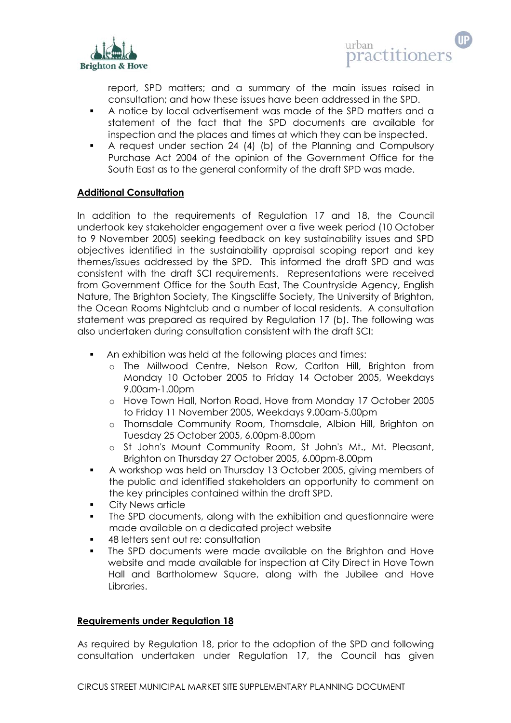

report, SPD matters; and a summary of the main issues raised in consultation; and how these issues have been addressed in the SPD.

- A notice by local advertisement was made of the SPD matters and a statement of the fact that the SPD documents are available for inspection and the places and times at which they can be inspected.
- A request under section 24 (4) (b) of the Planning and Compulsory Purchase Act 2004 of the opinion of the Government Office for the South East as to the general conformity of the draft SPD was made.

# **Additional Consultation**

In addition to the requirements of Regulation 17 and 18, the Council undertook key stakeholder engagement over a five week period (10 October to 9 November 2005) seeking feedback on key sustainability issues and SPD objectives identified in the sustainability appraisal scoping report and key themes/issues addressed by the SPD. This informed the draft SPD and was consistent with the draft SCI requirements. Representations were received from Government Office for the South East, The Countryside Agency, English Nature, The Brighton Society, The Kingscliffe Society, The University of Brighton, the Ocean Rooms Nightclub and a number of local residents. A consultation statement was prepared as required by Regulation 17 (b). The following was also undertaken during consultation consistent with the draft SCI:

- An exhibition was held at the following places and times:
	- o The Millwood Centre, Nelson Row, Carlton Hill, Brighton from Monday 10 October 2005 to Friday 14 October 2005, Weekdays 9.00am-1.00pm
	- o Hove Town Hall, Norton Road, Hove from Monday 17 October 2005 to Friday 11 November 2005, Weekdays 9.00am-5.00pm
	- o Thornsdale Community Room, Thornsdale, Albion Hill, Brighton on Tuesday 25 October 2005, 6.00pm-8.00pm
	- o St John's Mount Community Room, St John's Mt., Mt. Pleasant, Brighton on Thursday 27 October 2005, 6.00pm-8.00pm
- A workshop was held on Thursday 13 October 2005, giving members of the public and identified stakeholders an opportunity to comment on the key principles contained within the draft SPD.
- **City News article**
- The SPD documents, along with the exhibition and questionnaire were made available on a dedicated project website
- 48 letters sent out re: consultation
- The SPD documents were made available on the Brighton and Hove website and made available for inspection at City Direct in Hove Town Hall and Bartholomew Square, along with the Jubilee and Hove Libraries.

# **Requirements under Regulation 18**

As required by Regulation 18, prior to the adoption of the SPD and following consultation undertaken under Regulation 17, the Council has given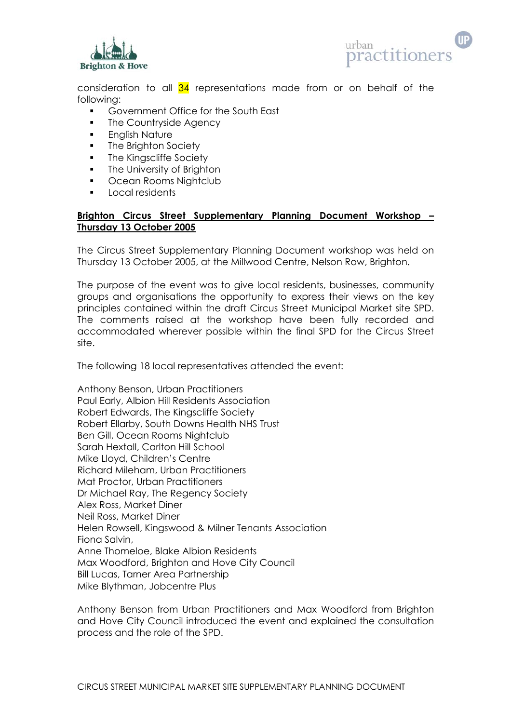



consideration to all  $34$  representations made from or on behalf of the following:

- Government Office for the South East
- The Countryside Agency
- **English Nature**
- **The Brighton Society**
- The Kingscliffe Society
- **The University of Brighton**
- **Can Rooms Nightclub**
- **Local residents**

# **Brighton Circus Street Supplementary Planning Document Workshop – Thursday 13 October 2005**

The Circus Street Supplementary Planning Document workshop was held on Thursday 13 October 2005, at the Millwood Centre, Nelson Row, Brighton.

The purpose of the event was to give local residents, businesses, community groups and organisations the opportunity to express their views on the key principles contained within the draft Circus Street Municipal Market site SPD. The comments raised at the workshop have been fully recorded and accommodated wherever possible within the final SPD for the Circus Street site.

The following 18 local representatives attended the event:

Anthony Benson, Urban Practitioners Paul Early, Albion Hill Residents Association Robert Edwards, The Kingscliffe Society Robert Ellarby, South Downs Health NHS Trust Ben Gill, Ocean Rooms Nightclub Sarah Hextall, Carlton Hill School Mike Lloyd, Children's Centre Richard Mileham, Urban Practitioners Mat Proctor, Urban Practitioners Dr Michael Ray, The Regency Society Alex Ross, Market Diner Neil Ross, Market Diner Helen Rowsell, Kingswood & Milner Tenants Association Fiona Salvin, Anne Thomeloe, Blake Albion Residents Max Woodford, Brighton and Hove City Council Bill Lucas, Tarner Area Partnership Mike Blythman, Jobcentre Plus

Anthony Benson from Urban Practitioners and Max Woodford from Brighton and Hove City Council introduced the event and explained the consultation process and the role of the SPD.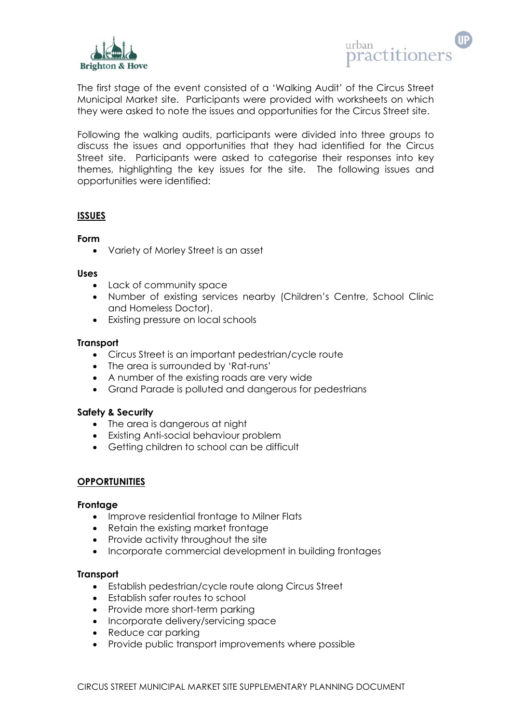



The first stage of the event consisted of a 'Walking Audit' of the Circus Street Municipal Market site. Participants were provided with worksheets on which they were asked to note the issues and opportunities for the Circus Street site.

Following the walking audits, participants were divided into three groups to discuss the issues and opportunities that they had identified for the Circus Street site. Participants were asked to categorise their responses into key themes, highlighting the key issues for the site. The following issues and opportunities were identified:

# **ISSUES**

## **Form**

• Variety of Morley Street is an asset

#### **Uses**

- Lack of community space
- Number of existing services nearby (Children's Centre, School Clinic and Homeless Doctor).
- Existing pressure on local schools

## **Transport**

- Circus Street is an important pedestrian/cycle route
- The area is surrounded by 'Rat-runs'
- A number of the existing roads are very wide
- Grand Parade is polluted and dangerous for pedestrians

## **Safety & Security**

- The area is dangerous at night
- Existing Anti-social behaviour problem
- Getting children to school can be difficult

# **OPPORTUNITIES**

## **Frontage**

- Improve residential frontage to Milner Flats
- Retain the existing market frontage
- Provide activity throughout the site
- Incorporate commercial development in building frontages

## **Transport**

- Establish pedestrian/cycle route along Circus Street
- Establish safer routes to school
- Provide more short-term parking
- Incorporate delivery/servicing space
- Reduce car parking
- Provide public transport improvements where possible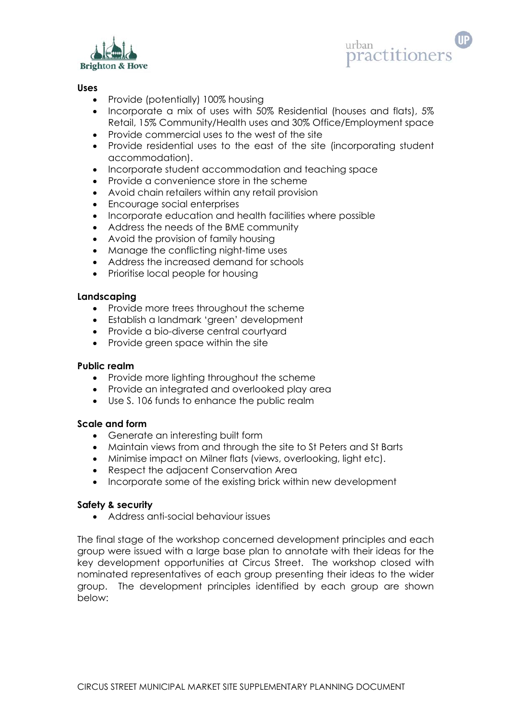



## **Uses**

- Provide (potentially) 100% housing
- Incorporate a mix of uses with 50% Residential (houses and flats), 5% Retail, 15% Community/Health uses and 30% Office/Employment space
- Provide commercial uses to the west of the site
- Provide residential uses to the east of the site (incorporating student accommodation).
- Incorporate student accommodation and teaching space
- Provide a convenience store in the scheme
- Avoid chain retailers within any retail provision
- Encourage social enterprises
- Incorporate education and health facilities where possible
- Address the needs of the BME community
- Avoid the provision of family housing
- Manage the conflicting night-time uses
- Address the increased demand for schools
- Prioritise local people for housing

## **Landscaping**

- Provide more trees throughout the scheme
- Establish a landmark 'green' development
- Provide a bio-diverse central courtyard
- Provide green space within the site

## **Public realm**

- Provide more lighting throughout the scheme
- Provide an integrated and overlooked play area
- Use S. 106 funds to enhance the public realm

## **Scale and form**

- Generate an interesting built form
- Maintain views from and through the site to St Peters and St Barts
- Minimise impact on Milner flats (views, overlooking, light etc).
- Respect the adjacent Conservation Area
- Incorporate some of the existing brick within new development

## **Safety & security**

• Address anti-social behaviour issues

The final stage of the workshop concerned development principles and each group were issued with a large base plan to annotate with their ideas for the key development opportunities at Circus Street. The workshop closed with nominated representatives of each group presenting their ideas to the wider group. The development principles identified by each group are shown below: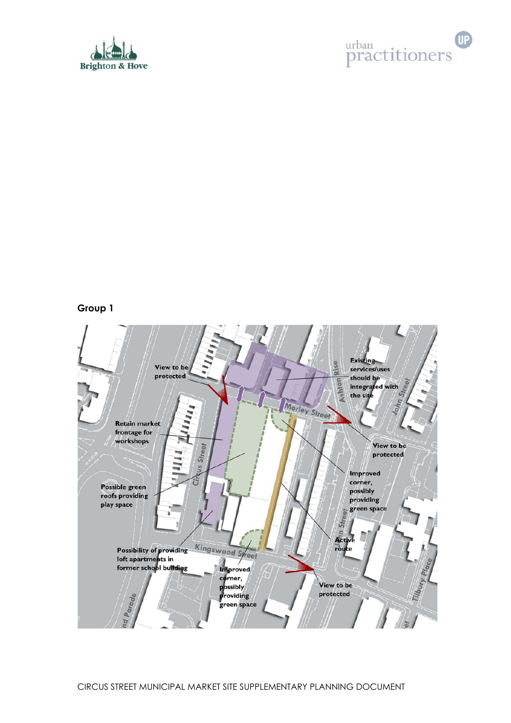



## **Group 1**

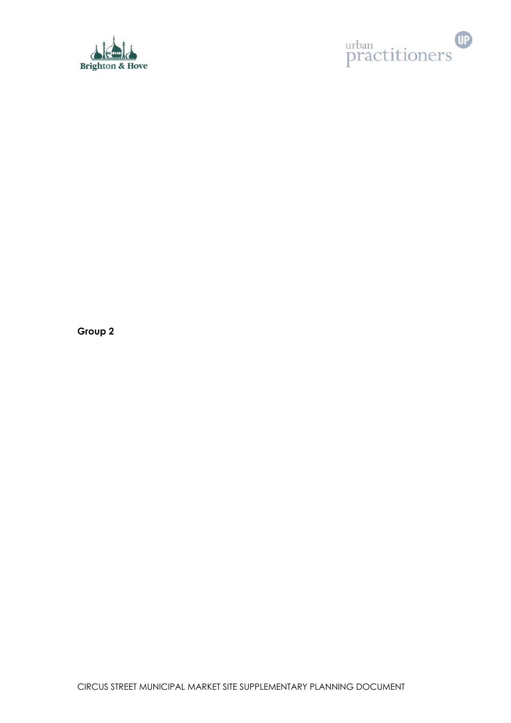



**Group 2**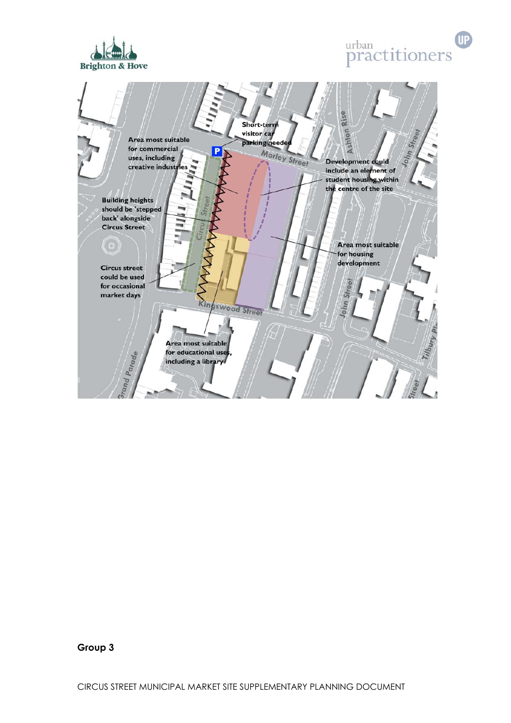





**Group 3** 

CIRCUS STREET MUNICIPAL MARKET SITE SUPPLEMENTARY PLANNING DOCUMENT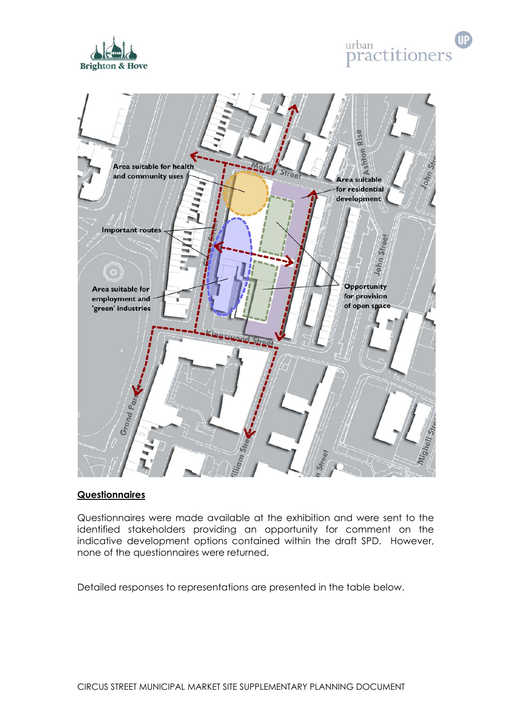





# **Questionnaires**

Questionnaires were made available at the exhibition and were sent to the identified stakeholders providing an opportunity for comment on the indicative development options contained within the draft SPD. However, none of the questionnaires were returned.

Detailed responses to representations are presented in the table below.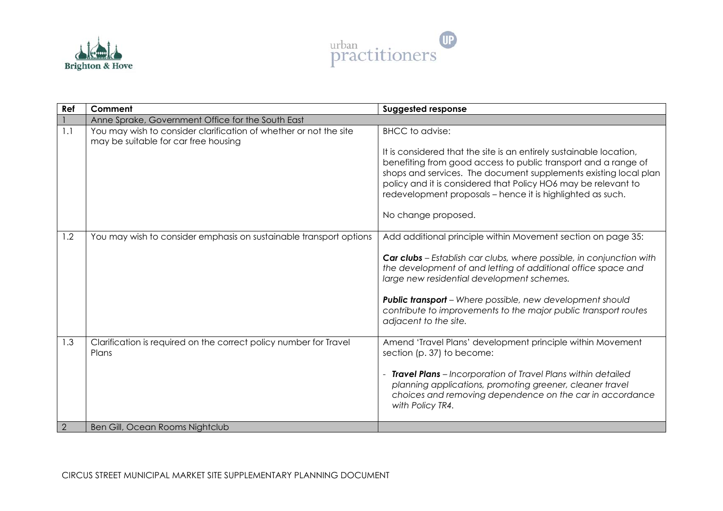



| Ref | Comment                                                                                                   | <b>Suggested response</b>                                                                                                                                                                                                                                                                                                                                                                                           |
|-----|-----------------------------------------------------------------------------------------------------------|---------------------------------------------------------------------------------------------------------------------------------------------------------------------------------------------------------------------------------------------------------------------------------------------------------------------------------------------------------------------------------------------------------------------|
|     | Anne Sprake, Government Office for the South East                                                         |                                                                                                                                                                                                                                                                                                                                                                                                                     |
| 1.1 | You may wish to consider clarification of whether or not the site<br>may be suitable for car free housing | <b>BHCC</b> to advise:<br>It is considered that the site is an entirely sustainable location,<br>benefiting from good access to public transport and a range of<br>shops and services. The document supplements existing local plan<br>policy and it is considered that Policy HO6 may be relevant to<br>redevelopment proposals - hence it is highlighted as such.<br>No change proposed.                          |
| 1.2 | You may wish to consider emphasis on sustainable transport options                                        | Add additional principle within Movement section on page 35:<br>Car clubs - Establish car clubs, where possible, in conjunction with<br>the development of and letting of additional office space and<br>large new residential development schemes.<br><b>Public transport</b> – Where possible, new development should<br>contribute to improvements to the major public transport routes<br>adjacent to the site. |
| 1.3 | Clarification is required on the correct policy number for Travel<br>Plans                                | Amend 'Travel Plans' development principle within Movement<br>section (p. 37) to become:<br>- Travel Plans - Incorporation of Travel Plans within detailed<br>planning applications, promoting greener, cleaner travel<br>choices and removing dependence on the car in accordance<br>with Policy TR4.                                                                                                              |
| 2   | Ben Gill, Ocean Rooms Nightclub                                                                           |                                                                                                                                                                                                                                                                                                                                                                                                                     |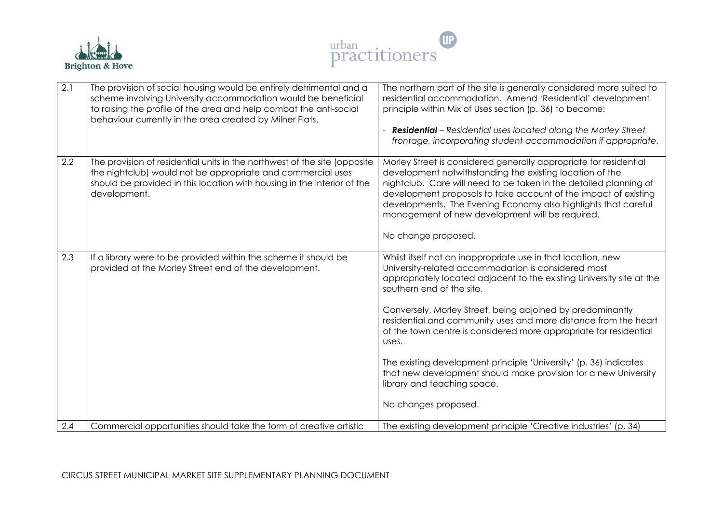



| 2.1 | The provision of social housing would be entirely detrimental and a<br>scheme involving University accommodation would be beneficial<br>to raising the profile of the area and help combat the anti-social<br>behaviour currently in the area created by Milner Flats. | The northern part of the site is generally considered more suited to<br>residential accommodation. Amend 'Residential' development<br>principle within Mix of Uses section (p. 36) to become:<br><b>Residential</b> - Residential uses located along the Morley Street<br>frontage, incorporating student accommodation if appropriate.                                                                                                                                                                                                                                                                                                 |
|-----|------------------------------------------------------------------------------------------------------------------------------------------------------------------------------------------------------------------------------------------------------------------------|-----------------------------------------------------------------------------------------------------------------------------------------------------------------------------------------------------------------------------------------------------------------------------------------------------------------------------------------------------------------------------------------------------------------------------------------------------------------------------------------------------------------------------------------------------------------------------------------------------------------------------------------|
| 2.2 | The provision of residential units in the northwest of the site (opposite<br>the nightclub) would not be appropriate and commercial uses<br>should be provided in this location with housing in the interior of the<br>development.                                    | Morley Street is considered generally appropriate for residential<br>development notwithstanding the existing location of the<br>nightclub. Care will need to be taken in the detailed planning of<br>development proposals to take account of the impact of existing<br>developments. The Evening Economy also highlights that careful<br>management of new development will be required.<br>No change proposed.                                                                                                                                                                                                                       |
| 2.3 | If a library were to be provided within the scheme it should be<br>provided at the Morley Street end of the development.                                                                                                                                               | Whilst itself not an inappropriate use in that location, new<br>University-related accommodation is considered most<br>appropriately located adjacent to the existing University site at the<br>southern end of the site.<br>Conversely, Morley Street, being adjoined by predominantly<br>residential and community uses and more distance from the heart<br>of the town centre is considered more appropriate for residential<br>uses.<br>The existing development principle 'University' (p. 36) indicates<br>that new development should make provision for a new University<br>library and teaching space.<br>No changes proposed. |
| 2.4 | Commercial opportunities should take the form of creative artistic                                                                                                                                                                                                     | The existing development principle 'Creative industries' (p. 34)                                                                                                                                                                                                                                                                                                                                                                                                                                                                                                                                                                        |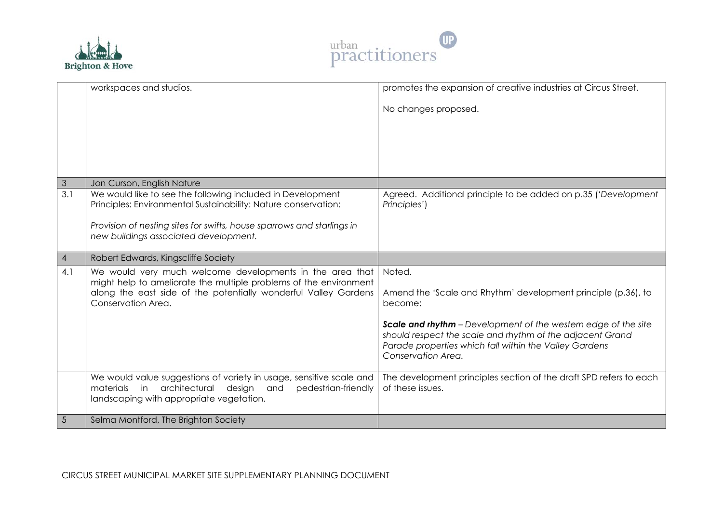



|                  | workspaces and studios.                                                                                                                                                                  | promotes the expansion of creative industries at Circus Street.                                                                                                                                                    |
|------------------|------------------------------------------------------------------------------------------------------------------------------------------------------------------------------------------|--------------------------------------------------------------------------------------------------------------------------------------------------------------------------------------------------------------------|
|                  |                                                                                                                                                                                          | No changes proposed.                                                                                                                                                                                               |
|                  |                                                                                                                                                                                          |                                                                                                                                                                                                                    |
|                  |                                                                                                                                                                                          |                                                                                                                                                                                                                    |
|                  |                                                                                                                                                                                          |                                                                                                                                                                                                                    |
|                  |                                                                                                                                                                                          |                                                                                                                                                                                                                    |
| $\mathfrak{S}$   | Jon Curson, English Nature                                                                                                                                                               |                                                                                                                                                                                                                    |
| $\overline{3.1}$ | We would like to see the following included in Development<br>Principles: Environmental Sustainability: Nature conservation:                                                             | Agreed. Additional principle to be added on p.35 ('Development<br>Principles')                                                                                                                                     |
|                  | Provision of nesting sites for swifts, house sparrows and starlings in<br>new buildings associated development.                                                                          |                                                                                                                                                                                                                    |
| $\overline{4}$   | Robert Edwards, Kingscliffe Society                                                                                                                                                      |                                                                                                                                                                                                                    |
| 4.1              | We would very much welcome developments in the area that                                                                                                                                 | Noted.                                                                                                                                                                                                             |
|                  | might help to ameliorate the multiple problems of the environment<br>along the east side of the potentially wonderful Valley Gardens<br>Conservation Area.                               | Amend the 'Scale and Rhythm' development principle (p.36), to<br>become:                                                                                                                                           |
|                  |                                                                                                                                                                                          | <b>Scale and rhythm</b> - Development of the western edge of the site<br>should respect the scale and rhythm of the adjacent Grand<br>Parade properties which fall within the Valley Gardens<br>Conservation Area. |
|                  | We would value suggestions of variety in usage, sensitive scale and<br>materials<br>in<br>architectural<br>design and<br>pedestrian-friendly<br>landscaping with appropriate vegetation. | The development principles section of the draft SPD refers to each<br>of these issues.                                                                                                                             |
| $\sqrt{5}$       | Selma Montford, The Brighton Society                                                                                                                                                     |                                                                                                                                                                                                                    |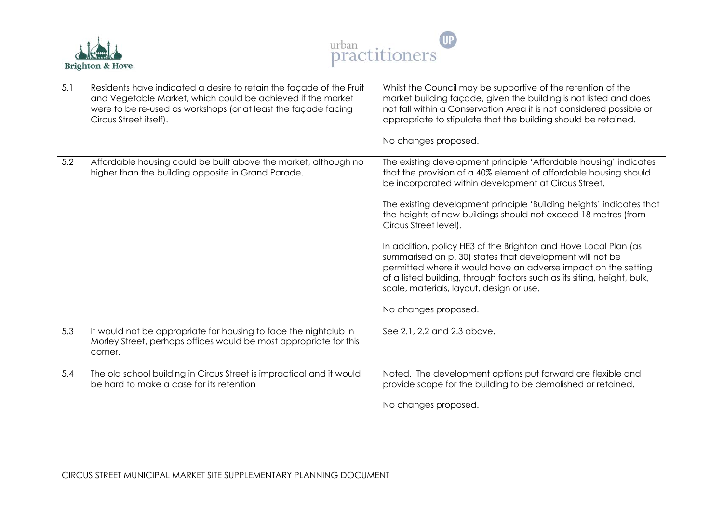



| 5.1 | Residents have indicated a desire to retain the façade of the Fruit<br>and Vegetable Market, which could be achieved if the market<br>were to be re-used as workshops (or at least the façade facing<br>Circus Street itself). | Whilst the Council may be supportive of the retention of the<br>market building façade, given the building is not listed and does<br>not fall within a Conservation Area it is not considered possible or<br>appropriate to stipulate that the building should be retained.<br>No changes proposed.                                                                                                                                                                                                                                                                                                                                                                                                              |
|-----|--------------------------------------------------------------------------------------------------------------------------------------------------------------------------------------------------------------------------------|------------------------------------------------------------------------------------------------------------------------------------------------------------------------------------------------------------------------------------------------------------------------------------------------------------------------------------------------------------------------------------------------------------------------------------------------------------------------------------------------------------------------------------------------------------------------------------------------------------------------------------------------------------------------------------------------------------------|
| 5.2 | Affordable housing could be built above the market, although no<br>higher than the building opposite in Grand Parade.                                                                                                          | The existing development principle 'Affordable housing' indicates<br>that the provision of a 40% element of affordable housing should<br>be incorporated within development at Circus Street.<br>The existing development principle 'Building heights' indicates that<br>the heights of new buildings should not exceed 18 metres (from<br>Circus Street level).<br>In addition, policy HE3 of the Brighton and Hove Local Plan (as<br>summarised on p. 30) states that development will not be<br>permitted where it would have an adverse impact on the setting<br>of a listed building, through factors such as its siting, height, bulk,<br>scale, materials, layout, design or use.<br>No changes proposed. |
| 5.3 | It would not be appropriate for housing to face the nightclub in<br>Morley Street, perhaps offices would be most appropriate for this<br>corner.                                                                               | See 2.1, 2.2 and 2.3 above.                                                                                                                                                                                                                                                                                                                                                                                                                                                                                                                                                                                                                                                                                      |
| 5.4 | The old school building in Circus Street is impractical and it would<br>be hard to make a case for its retention                                                                                                               | Noted. The development options put forward are flexible and<br>provide scope for the building to be demolished or retained.<br>No changes proposed.                                                                                                                                                                                                                                                                                                                                                                                                                                                                                                                                                              |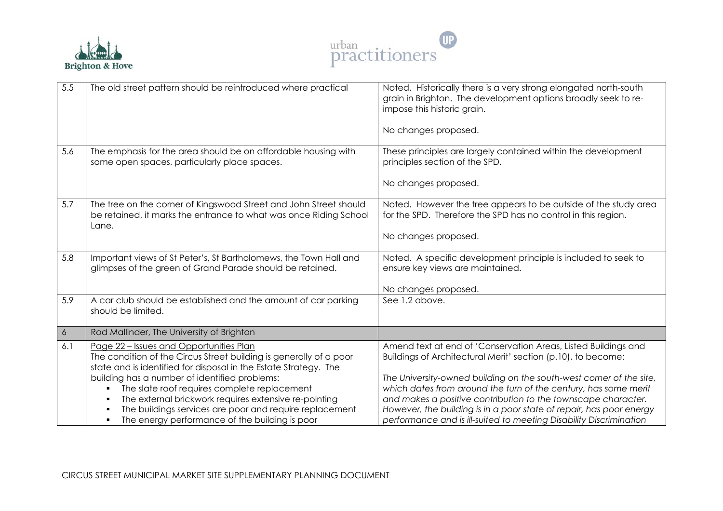



| 5.5              | The old street pattern should be reintroduced where practical                                                                                                                                                                                                                                                                                                                                                                                                      | Noted. Historically there is a very strong elongated north-south<br>grain in Brighton. The development options broadly seek to re-<br>impose this historic grain.<br>No changes proposed.                                                                                                                                                                                                                                                                                              |
|------------------|--------------------------------------------------------------------------------------------------------------------------------------------------------------------------------------------------------------------------------------------------------------------------------------------------------------------------------------------------------------------------------------------------------------------------------------------------------------------|----------------------------------------------------------------------------------------------------------------------------------------------------------------------------------------------------------------------------------------------------------------------------------------------------------------------------------------------------------------------------------------------------------------------------------------------------------------------------------------|
| 5.6              | The emphasis for the area should be on affordable housing with<br>some open spaces, particularly place spaces.                                                                                                                                                                                                                                                                                                                                                     | These principles are largely contained within the development<br>principles section of the SPD.<br>No changes proposed.                                                                                                                                                                                                                                                                                                                                                                |
| 5.7              | The tree on the corner of Kingswood Street and John Street should<br>be retained, it marks the entrance to what was once Riding School<br>Lane.                                                                                                                                                                                                                                                                                                                    | Noted. However the tree appears to be outside of the study area<br>for the SPD. Therefore the SPD has no control in this region.<br>No changes proposed.                                                                                                                                                                                                                                                                                                                               |
| 5.8              | Important views of St Peter's, St Bartholomews, the Town Hall and<br>glimpses of the green of Grand Parade should be retained.                                                                                                                                                                                                                                                                                                                                     | Noted. A specific development principle is included to seek to<br>ensure key views are maintained.<br>No changes proposed.                                                                                                                                                                                                                                                                                                                                                             |
| 5.9              | A car club should be established and the amount of car parking<br>should be limited.                                                                                                                                                                                                                                                                                                                                                                               | See 1.2 above.                                                                                                                                                                                                                                                                                                                                                                                                                                                                         |
| $\boldsymbol{6}$ | Rod Mallinder, The University of Brighton                                                                                                                                                                                                                                                                                                                                                                                                                          |                                                                                                                                                                                                                                                                                                                                                                                                                                                                                        |
| 6.1              | Page 22 - Issues and Opportunities Plan<br>The condition of the Circus Street building is generally of a poor<br>state and is identified for disposal in the Estate Strategy. The<br>building has a number of identified problems:<br>The slate roof requires complete replacement<br>٠<br>The external brickwork requires extensive re-pointing<br>The buildings services are poor and require replacement<br>The energy performance of the building is poor<br>٠ | Amend text at end of 'Conservation Areas, Listed Buildings and<br>Buildings of Architectural Merit' section (p.10), to become:<br>The University-owned building on the south-west corner of the site,<br>which dates from around the turn of the century, has some merit<br>and makes a positive contribution to the townscape character.<br>However, the building is in a poor state of repair, has poor energy<br>performance and is ill-suited to meeting Disability Discrimination |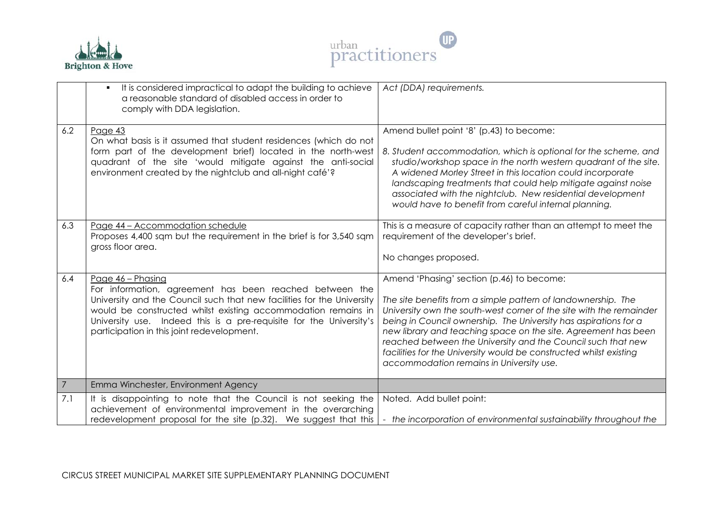



|                | It is considered impractical to adapt the building to achieve<br>$\blacksquare$<br>a reasonable standard of disabled access in order to<br>comply with DDA legislation.                                                                                                                                                                      | Act (DDA) requirements.                                                                                                                                                                                                                                                                                                                                                                                                                                                                                   |
|----------------|----------------------------------------------------------------------------------------------------------------------------------------------------------------------------------------------------------------------------------------------------------------------------------------------------------------------------------------------|-----------------------------------------------------------------------------------------------------------------------------------------------------------------------------------------------------------------------------------------------------------------------------------------------------------------------------------------------------------------------------------------------------------------------------------------------------------------------------------------------------------|
| 6.2            | Page 43<br>On what basis is it assumed that student residences (which do not<br>form part of the development brief) located in the north-west<br>quadrant of the site 'would mitigate against the anti-social<br>environment created by the nightclub and all-night café'?                                                                   | Amend bullet point '8' (p.43) to become:<br>8. Student accommodation, which is optional for the scheme, and<br>studio/workshop space in the north western quadrant of the site.<br>A widened Morley Street in this location could incorporate<br>landscaping treatments that could help mitigate against noise<br>associated with the nightclub. New residential development<br>would have to benefit from careful internal planning.                                                                     |
| 6.3            | Page 44 - Accommodation schedule<br>Proposes 4,400 sqm but the requirement in the brief is for 3,540 sqm<br>gross floor area.                                                                                                                                                                                                                | This is a measure of capacity rather than an attempt to meet the<br>requirement of the developer's brief.<br>No changes proposed.                                                                                                                                                                                                                                                                                                                                                                         |
| 6.4            | Page 46 - Phasing<br>For information, agreement has been reached between the<br>University and the Council such that new facilities for the University<br>would be constructed whilst existing accommodation remains in<br>University use. Indeed this is a pre-requisite for the University's<br>participation in this joint redevelopment. | Amend 'Phasing' section (p.46) to become:<br>The site benefits from a simple pattern of landownership. The<br>University own the south-west corner of the site with the remainder<br>being in Council ownership. The University has aspirations for a<br>new library and teaching space on the site. Agreement has been<br>reached between the University and the Council such that new<br>facilities for the University would be constructed whilst existing<br>accommodation remains in University use. |
| $\overline{7}$ | Emma Winchester, Environment Agency                                                                                                                                                                                                                                                                                                          |                                                                                                                                                                                                                                                                                                                                                                                                                                                                                                           |
| 7.1            | It is disappointing to note that the Council is not seeking the<br>achievement of environmental improvement in the overarching<br>redevelopment proposal for the site (p.32). We suggest that this                                                                                                                                           | Noted. Add bullet point:<br>- the incorporation of environmental sustainability throughout the                                                                                                                                                                                                                                                                                                                                                                                                            |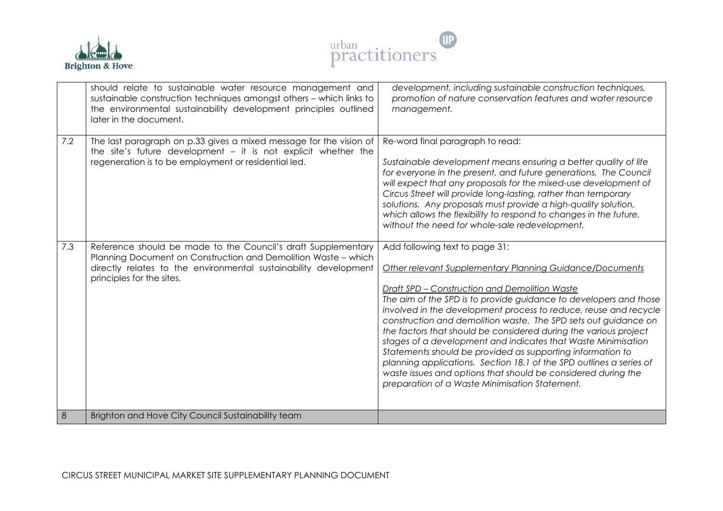



|     | should relate to sustainable water resource management and<br>sustainable construction techniques amongst others - which links to<br>the environmental sustainability development principles outlined<br>later in the document.  | development, including sustainable construction techniques,<br>promotion of nature conservation features and water resource<br>management.                                                                                                                                                                                                                                                                                                                                                                                                                                                                                                                                                                                                           |
|-----|----------------------------------------------------------------------------------------------------------------------------------------------------------------------------------------------------------------------------------|------------------------------------------------------------------------------------------------------------------------------------------------------------------------------------------------------------------------------------------------------------------------------------------------------------------------------------------------------------------------------------------------------------------------------------------------------------------------------------------------------------------------------------------------------------------------------------------------------------------------------------------------------------------------------------------------------------------------------------------------------|
| 7.2 | The last paragraph on p.33 gives a mixed message for the vision of<br>the site's future development $-$ it is not explicit whether the<br>regeneration is to be employment or residential led.                                   | Re-word final paragraph to read:<br>Sustainable development means ensuring a better quality of life<br>for everyone in the present, and future generations. The Council<br>will expect that any proposals for the mixed-use development of<br>Circus Street will provide long-lasting, rather than temporary<br>solutions. Any proposals must provide a high-quality solution,<br>which allows the flexibility to respond to changes in the future,<br>without the need for whole-sale redevelopment.                                                                                                                                                                                                                                                |
| 7.3 | Reference should be made to the Council's draft Supplementary<br>Planning Document on Construction and Demolition Waste - which<br>directly relates to the environmental sustainability development<br>principles for the sites. | Add following text to page 31:<br>Other relevant Supplementary Planning Guidance/Documents<br>Draft SPD - Construction and Demolition Waste<br>The aim of the SPD is to provide guidance to developers and those<br>involved in the development process to reduce, reuse and recycle<br>construction and demolition waste. The SPD sets out guidance on<br>the factors that should be considered during the various project<br>stages of a development and indicates that Waste Minimisation<br>Statements should be provided as supporting information to<br>planning applications. Section 18.1 of the SPD outlines a series of<br>waste issues and options that should be considered during the<br>preparation of a Waste Minimisation Statement. |
| 8   | Brighton and Hove City Council Sustainability team                                                                                                                                                                               |                                                                                                                                                                                                                                                                                                                                                                                                                                                                                                                                                                                                                                                                                                                                                      |